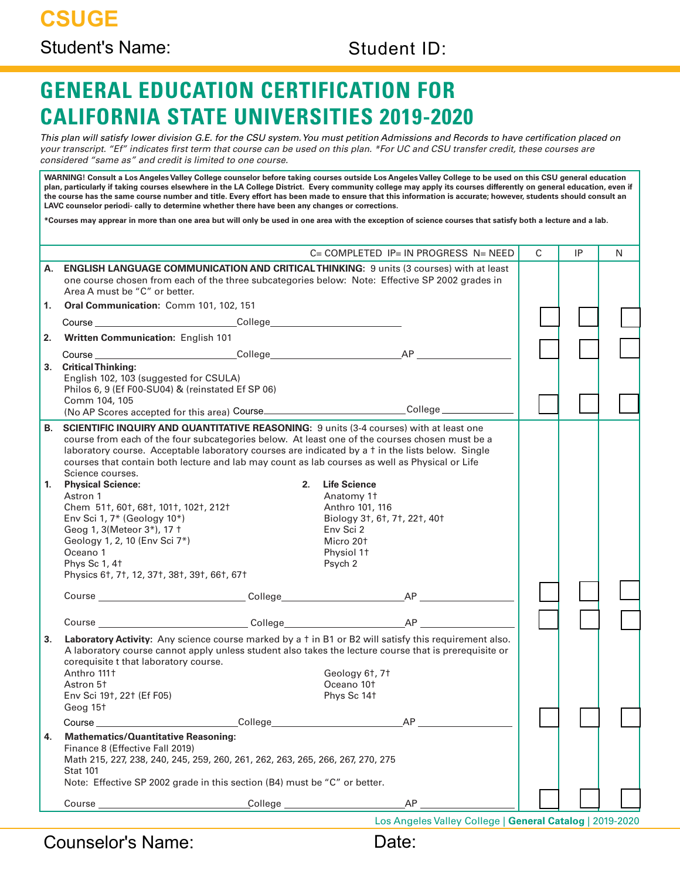# **GENERAL EDUCATION CERTIFICATION FOR CALIFORNIA STATE UNIVERSITIES 2019-2020**

*This plan will satisfy lower division G.E. for the CSU system. You must petition Admissions and Records to have certification placed on your transcript. "Ef" indicates first term that course can be used on this plan. \*For UC and CSU transfer credit, these courses are considered "same as" and credit is limited to one course.*

**WARNING! Consult a Los Angeles Valley College counselor before taking courses outside Los Angeles Valley College to be used on this CSU general education plan, particularly if taking courses elsewhere in the LA College District. Every community college may apply its courses differently on general education, even if the course has the same course number and title. Every effort has been made to ensure that this information is accurate; however, students should consult an LAVC counselor periodi- cally to determine whether there have been any changes or corrections.**

**\*Courses may apprear in more than one area but will only be used in one area with the exception of science courses that satisfy both a lecture and a lab.**

|          | $C = COMPLETED$ IP= IN PROGRESS N= NEED                                                                                                                                                                                                                                                                                                                                                                                                                                                                                                                                                                                                                                                                                                                                                                                                                                 | C | IP |   |
|----------|-------------------------------------------------------------------------------------------------------------------------------------------------------------------------------------------------------------------------------------------------------------------------------------------------------------------------------------------------------------------------------------------------------------------------------------------------------------------------------------------------------------------------------------------------------------------------------------------------------------------------------------------------------------------------------------------------------------------------------------------------------------------------------------------------------------------------------------------------------------------------|---|----|---|
|          |                                                                                                                                                                                                                                                                                                                                                                                                                                                                                                                                                                                                                                                                                                                                                                                                                                                                         |   |    | N |
| А.       | <b>ENGLISH LANGUAGE COMMUNICATION AND CRITICAL THINKING: 9 units (3 courses) with at least</b><br>one course chosen from each of the three subcategories below: Note: Effective SP 2002 grades in<br>Area A must be "C" or better.                                                                                                                                                                                                                                                                                                                                                                                                                                                                                                                                                                                                                                      |   |    |   |
| 1.       | Oral Communication: Comm 101, 102, 151                                                                                                                                                                                                                                                                                                                                                                                                                                                                                                                                                                                                                                                                                                                                                                                                                                  |   |    |   |
|          |                                                                                                                                                                                                                                                                                                                                                                                                                                                                                                                                                                                                                                                                                                                                                                                                                                                                         |   |    |   |
| 2.       | Written Communication: English 101                                                                                                                                                                                                                                                                                                                                                                                                                                                                                                                                                                                                                                                                                                                                                                                                                                      |   |    |   |
|          |                                                                                                                                                                                                                                                                                                                                                                                                                                                                                                                                                                                                                                                                                                                                                                                                                                                                         |   |    |   |
| 3.       | <b>Critical Thinking:</b><br>English 102, 103 (suggested for CSULA)<br>Philos 6, 9 (Ef F00-SU04) & (reinstated Ef SP 06)<br>Comm 104, 105<br>(No AP Scores accepted for this area) Course______________________________College___________________                                                                                                                                                                                                                                                                                                                                                                                                                                                                                                                                                                                                                       |   |    |   |
| В.<br>1. | <b>SCIENTIFIC INQUIRY AND QUANTITATIVE REASONING:</b> 9 units (3-4 courses) with at least one<br>course from each of the four subcategories below. At least one of the courses chosen must be a<br>laboratory course. Acceptable laboratory courses are indicated by a t in the lists below. Single<br>courses that contain both lecture and lab may count as lab courses as well as Physical or Life<br>Science courses.<br><b>Physical Science:</b><br>2.<br><b>Life Science</b><br>Astron 1<br>Anatomy 11<br>Chem 511, 601, 681, 1011, 1021, 2121<br>Anthro 101, 116<br>Env Sci 1, 7* (Geology 10*)<br>Biology 31, 61, 71, 221, 401<br>Geog 1, 3(Meteor 3*), 17 <sup>+</sup><br>Env Sci 2<br>Geology 1, 2, 10 (Env Sci 7*)<br>Micro 20 <sup>+</sup><br>Oceano 1<br>Physiol 11<br>Phys Sc 1, 4 <sup>+</sup><br>Psych 2<br>Physics 6t, 7t, 12, 37t, 38t, 39t, 66t, 67t |   |    |   |
|          |                                                                                                                                                                                                                                                                                                                                                                                                                                                                                                                                                                                                                                                                                                                                                                                                                                                                         |   |    |   |
|          |                                                                                                                                                                                                                                                                                                                                                                                                                                                                                                                                                                                                                                                                                                                                                                                                                                                                         |   |    |   |
| 3.       | Laboratory Activity: Any science course marked by a t in B1 or B2 will satisfy this requirement also.<br>A laboratory course cannot apply unless student also takes the lecture course that is prerequisite or<br>corequisite t that laboratory course.<br>Anthro 111+<br>Geology 6t, 7t<br>Oceano 10 <sup>+</sup><br>Astron 5 <sup>+</sup><br>Env Sci 191, 221 (Ef F05)<br>Phys Sc 14t<br>Geog 15t                                                                                                                                                                                                                                                                                                                                                                                                                                                                     |   |    |   |
|          | Course Contract College College Contract Contract College College College College College College College College College College College College College College College College College College College College College Coll<br><b>AP</b>                                                                                                                                                                                                                                                                                                                                                                                                                                                                                                                                                                                                                             |   |    |   |
|          | <b>Mathematics/Quantitative Reasoning:</b><br>Finance 8 (Effective Fall 2019)<br>Math 215, 227, 238, 240, 245, 259, 260, 261, 262, 263, 265, 266, 267, 270, 275<br><b>Stat 101</b><br>Note: Effective SP 2002 grade in this section (B4) must be "C" or better.                                                                                                                                                                                                                                                                                                                                                                                                                                                                                                                                                                                                         |   |    |   |
|          | AP                                                                                                                                                                                                                                                                                                                                                                                                                                                                                                                                                                                                                                                                                                                                                                                                                                                                      |   |    |   |
|          | Los Angeles Valley College   General Catalog   2019-2020                                                                                                                                                                                                                                                                                                                                                                                                                                                                                                                                                                                                                                                                                                                                                                                                                |   |    |   |

Counselor's Name:

| т.<br>ı. |  |
|----------|--|